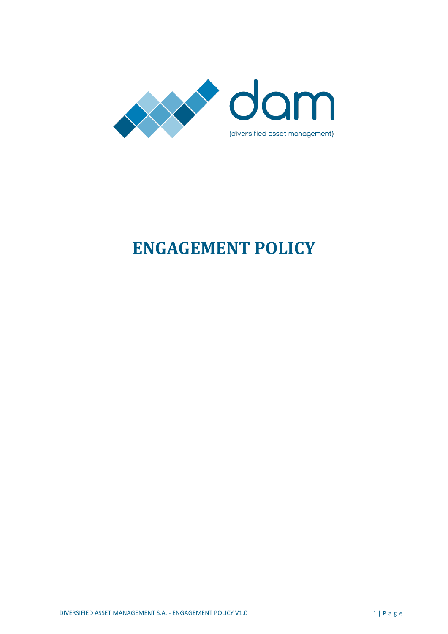

# **ENGAGEMENT POLICY**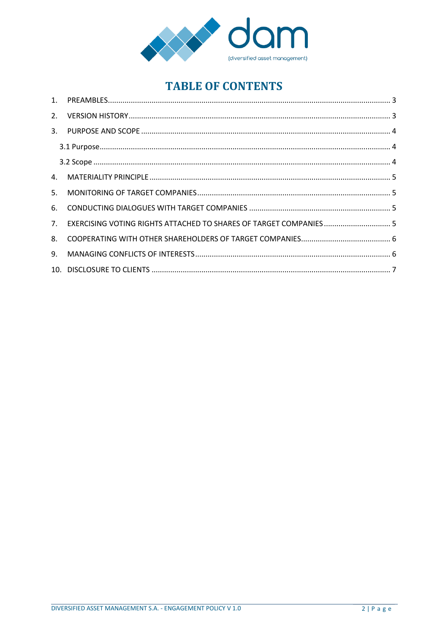

# **TABLE OF CONTENTS**

| 5.             |                                                                    |  |
|----------------|--------------------------------------------------------------------|--|
| 6.             |                                                                    |  |
| 7 <sub>1</sub> | EXERCISING VOTING RIGHTS ATTACHED TO SHARES OF TARGET COMPANIES  5 |  |
|                |                                                                    |  |
| 9.             |                                                                    |  |
|                |                                                                    |  |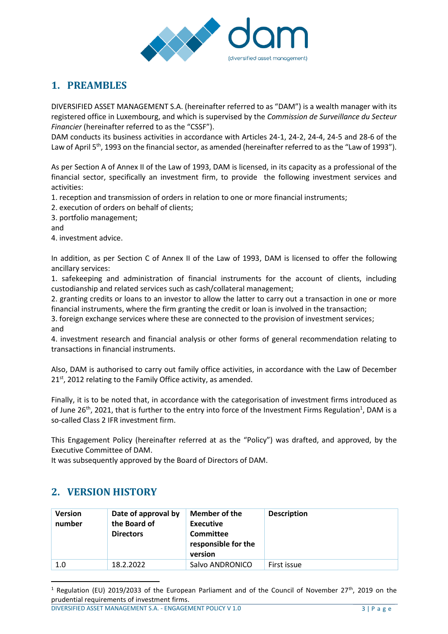

# <span id="page-2-0"></span>**1. PREAMBLES**

DIVERSIFIED ASSET MANAGEMENT S.A. (hereinafter referred to as "DAM") is a wealth manager with its registered office in Luxembourg, and which is supervised by the *Commission de Surveillance du Secteur Financier* (hereinafter referred to as the "CSSF").

DAM conducts its business activities in accordance with Articles 24-1, 24-2, 24-4, 24-5 and 28-6 of the Law of April 5<sup>th</sup>, 1993 on the financial sector, as amended (hereinafter referred to as the "Law of 1993").

As per Section A of Annex II of the Law of 1993, DAM is licensed, in its capacity as a professional of the financial sector, specifically an investment firm, to provide the following investment services and activities:

- 1. reception and transmission of orders in relation to one or more financial instruments;
- 2. execution of orders on behalf of clients;
- 3. portfolio management;

and

4. investment advice.

In addition, as per Section C of Annex II of the Law of 1993, DAM is licensed to offer the following ancillary services:

1. safekeeping and administration of financial instruments for the account of clients, including custodianship and related services such as cash/collateral management;

2. granting credits or loans to an investor to allow the latter to carry out a transaction in one or more financial instruments, where the firm granting the credit or loan is involved in the transaction;

3. foreign exchange services where these are connected to the provision of investment services; and

4. investment research and financial analysis or other forms of general recommendation relating to transactions in financial instruments.

Also, DAM is authorised to carry out family office activities, in accordance with the Law of December  $21<sup>st</sup>$ , 2012 relating to the Family Office activity, as amended.

Finally, it is to be noted that, in accordance with the categorisation of investment firms introduced as of June 26<sup>th</sup>, 2021, that is further to the entry into force of the Investment Firms Regulation<sup>1</sup>, DAM is a so-called Class 2 IFR investment firm.

This Engagement Policy (hereinafter referred at as the "Policy") was drafted, and approved, by the Executive Committee of DAM.

It was subsequently approved by the Board of Directors of DAM.

# <span id="page-2-1"></span>**2. VERSION HISTORY**

 $\overline{a}$ 

| <b>Version</b><br>number | Date of approval by<br>the Board of<br><b>Directors</b> | Member of the<br><b>Executive</b><br>Committee<br>responsible for the<br>version | <b>Description</b> |
|--------------------------|---------------------------------------------------------|----------------------------------------------------------------------------------|--------------------|
| 1.0                      | 18.2.2022                                               | Salvo ANDRONICO                                                                  | First issue        |

<sup>&</sup>lt;sup>1</sup> Regulation (EU) 2019/2033 of the European Parliament and of the Council of November 27<sup>th</sup>, 2019 on the prudential requirements of investment firms.

DIVERSIFIED ASSET MANAGEMENT S.A. - ENGAGEMENT POLICY V 1.0 3 | P a g e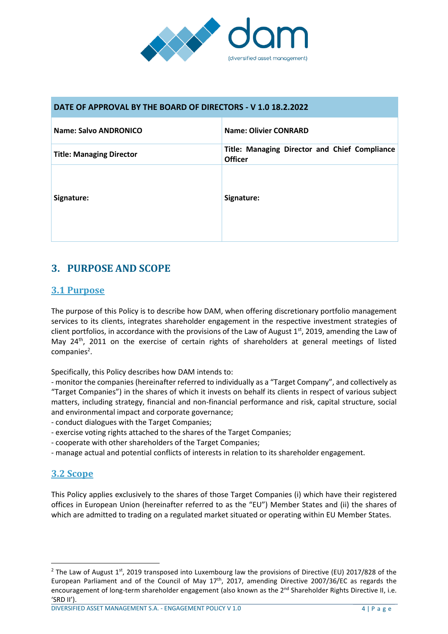

#### **DATE OF APPROVAL BY THE BOARD OF DIRECTORS - V 1.0 18.2.2022**

| Name: Salvo ANDRONICO           | <b>Name: Olivier CONRARD</b>                                    |
|---------------------------------|-----------------------------------------------------------------|
| <b>Title: Managing Director</b> | Title: Managing Director and Chief Compliance<br><b>Officer</b> |
| Signature:                      | Signature:                                                      |

# <span id="page-3-0"></span>**3. PURPOSE AND SCOPE**

#### <span id="page-3-1"></span>**3.1 Purpose**

The purpose of this Policy is to describe how DAM, when offering discretionary portfolio management services to its clients, integrates shareholder engagement in the respective investment strategies of client portfolios, in accordance with the provisions of the Law of August  $1<sup>st</sup>$ , 2019, amending the Law of May 24<sup>th</sup>, 2011 on the exercise of certain rights of shareholders at general meetings of listed companies<sup>2</sup>.

Specifically, this Policy describes how DAM intends to:

- monitor the companies (hereinafter referred to individually as a "Target Company", and collectively as "Target Companies") in the shares of which it invests on behalf its clients in respect of various subject matters, including strategy, financial and non-financial performance and risk, capital structure, social and environmental impact and corporate governance;

- conduct dialogues with the Target Companies;

- exercise voting rights attached to the shares of the Target Companies;
- cooperate with other shareholders of the Target Companies;
- manage actual and potential conflicts of interests in relation to its shareholder engagement.

#### <span id="page-3-2"></span>**3.2 Scope**

 $\overline{\phantom{a}}$ 

This Policy applies exclusively to the shares of those Target Companies (i) which have their registered offices in European Union (hereinafter referred to as the "EU") Member States and (ii) the shares of which are admitted to trading on a regulated market situated or operating within EU Member States.

DIVERSIFIED ASSET MANAGEMENT S.A. - ENGAGEMENT POLICY V 1.0 4 | P a g e

<sup>&</sup>lt;sup>2</sup> The Law of August 1<sup>st</sup>, 2019 transposed into Luxembourg law the provisions of Directive (EU) 2017/828 of the European Parliament and of the Council of May 17<sup>th</sup>, 2017, amending Directive 2007/36/EC as regards the encouragement of long-term shareholder engagement (also known as the 2<sup>nd</sup> Shareholder Rights Directive II, i.e. 'SRD II').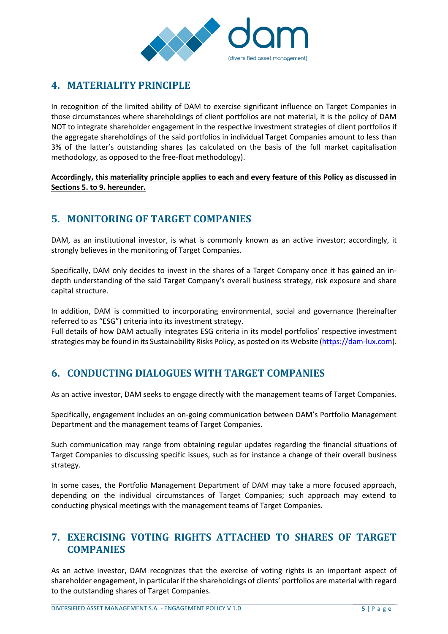

#### <span id="page-4-0"></span>**4. MATERIALITY PRINCIPLE**

In recognition of the limited ability of DAM to exercise significant influence on Target Companies in those circumstances where shareholdings of client portfolios are not material, it is the policy of DAM NOT to integrate shareholder engagement in the respective investment strategies of client portfolios if the aggregate shareholdings of the said portfolios in individual Target Companies amount to less than 3% of the latter's outstanding shares (as calculated on the basis of the full market capitalisation methodology, as opposed to the free-float methodology).

**Accordingly, this materiality principle applies to each and every feature of this Policy as discussed in Sections 5. to 9. hereunder.**

# <span id="page-4-1"></span>**5. MONITORING OF TARGET COMPANIES**

DAM, as an institutional investor, is what is commonly known as an active investor; accordingly, it strongly believes in the monitoring of Target Companies.

Specifically, DAM only decides to invest in the shares of a Target Company once it has gained an indepth understanding of the said Target Company's overall business strategy, risk exposure and share capital structure.

In addition, DAM is committed to incorporating environmental, social and governance (hereinafter referred to as "ESG") criteria into its investment strategy.

Full details of how DAM actually integrates ESG criteria in its model portfolios' respective investment strategies may be found in its Sustainability Risks Policy, as posted on its Website [\(https://dam-lux.com\)](https://dam-lux.com/).

# <span id="page-4-2"></span>**6. CONDUCTING DIALOGUES WITH TARGET COMPANIES**

As an active investor, DAM seeks to engage directly with the management teams of Target Companies.

Specifically, engagement includes an on-going communication between DAM's Portfolio Management Department and the management teams of Target Companies.

Such communication may range from obtaining regular updates regarding the financial situations of Target Companies to discussing specific issues, such as for instance a change of their overall business strategy.

In some cases, the Portfolio Management Department of DAM may take a more focused approach, depending on the individual circumstances of Target Companies; such approach may extend to conducting physical meetings with the management teams of Target Companies.

#### <span id="page-4-3"></span>**7. EXERCISING VOTING RIGHTS ATTACHED TO SHARES OF TARGET COMPANIES**

As an active investor, DAM recognizes that the exercise of voting rights is an important aspect of shareholder engagement, in particular if the shareholdings of clients' portfolios are material with regard to the outstanding shares of Target Companies.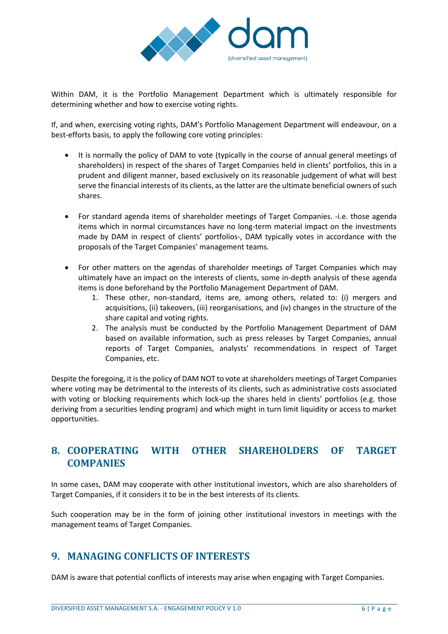

Within DAM, it is the Portfolio Management Department which is ultimately responsible for determining whether and how to exercise voting rights.

If, and when, exercising voting rights, DAM's Portfolio Management Department will endeavour, on a best-efforts basis, to apply the following core voting principles:

- It is normally the policy of DAM to vote (typically in the course of annual general meetings of shareholders) in respect of the shares of Target Companies held in clients' portfolios, this in a prudent and diligent manner, based exclusively on its reasonable judgement of what will best serve the financial interests of its clients, as the latter are the ultimate beneficial owners of such shares.
- For standard agenda items of shareholder meetings of Target Companies. -i.e. those agenda items which in normal circumstances have no long-term material impact on the investments made by DAM in respect of clients' portfolios-, DAM typically votes in accordance with the proposals of the Target Companies' management teams.
- For other matters on the agendas of shareholder meetings of Target Companies which may ultimately have an impact on the interests of clients, some in-depth analysis of these agenda items is done beforehand by the Portfolio Management Department of DAM.
	- 1. These other, non-standard, items are, among others, related to: (i) mergers and acquisitions, (ii) takeovers, (iii) reorganisations, and (iv) changes in the structure of the share capital and voting rights.
	- 2. The analysis must be conducted by the Portfolio Management Department of DAM based on available information, such as press releases by Target Companies, annual reports of Target Companies, analysts' recommendations in respect of Target Companies, etc.

Despite the foregoing, it is the policy of DAM NOT to vote at shareholders meetings of Target Companies where voting may be detrimental to the interests of its clients, such as administrative costs associated with voting or blocking requirements which lock-up the shares held in clients' portfolios (e.g. those deriving from a securities lending program) and which might in turn limit liquidity or access to market opportunities.

#### <span id="page-5-0"></span>**8. COOPERATING WITH OTHER SHAREHOLDERS OF TARGET COMPANIES**

In some cases, DAM may cooperate with other institutional investors, which are also shareholders of Target Companies, if it considers it to be in the best interests of its clients.

Such cooperation may be in the form of joining other institutional investors in meetings with the management teams of Target Companies.

#### <span id="page-5-1"></span>**9. MANAGING CONFLICTS OF INTERESTS**

DAM is aware that potential conflicts of interests may arise when engaging with Target Companies.